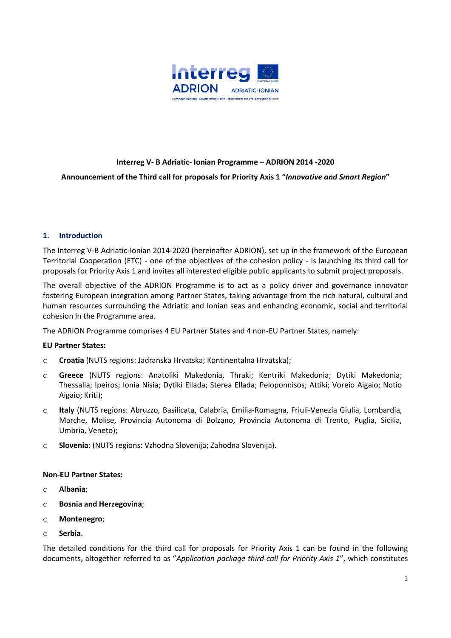

# **Interreg V- B Adriatic- Ionian Programme – ADRION 2014 -2020 Announcement of the Third call for proposals for Priority Axis 1 "***Innovative and Smart Region***"**

### **1. Introduction**

The Interreg V-B Adriatic-Ionian 2014-2020 (hereinafter ADRION), set up in the framework of the European Territorial Cooperation (ETC) - one of the objectives of the cohesion policy - is launching its third call for proposals for Priority Axis 1 and invites all interested eligible public applicants to submit project proposals.

The overall objective of the ADRION Programme is to act as a policy driver and governance innovator fostering European integration among Partner States, taking advantage from the rich natural, cultural and human resources surrounding the Adriatic and Ionian seas and enhancing economic, social and territorial cohesion in the Programme area.

The ADRION Programme comprises 4 EU Partner States and 4 non-EU Partner States, namely:

### **EU Partner States:**

- o **Croatia** (NUTS regions: Jadranska Hrvatska; Kontinentalna Hrvatska);
- o **Greece** (NUTS regions: Anatoliki Makedonia, Thraki; Kentriki Makedonia; Dytiki Makedonia; Thessalia; Ipeiros; Ionia Nisia; Dytiki Ellada; Sterea Ellada; Peloponnisos; Attiki; Voreio Aigaio; Notio Aigaio; Kriti);
- o **Italy** (NUTS regions: Abruzzo, Basilicata, Calabria, Emilia-Romagna, Friuli-Venezia Giulia, Lombardia, Marche, Molise, Provincia Autonoma di Bolzano, Provincia Autonoma di Trento, Puglia, Sicilia, Umbria, Veneto);
- o **Slovenia**: (NUTS regions: Vzhodna Slovenija; Zahodna Slovenija).

### **Non-EU Partner States:**

- o **Albania**;
- o **Bosnia and Herzegovina**;
- o **Montenegro**;
- o **Serbia**.

The detailed conditions for the third call for proposals for Priority Axis 1 can be found in the following documents, altogether referred to as "*Application package third call for Priority Axis 1*", which constitutes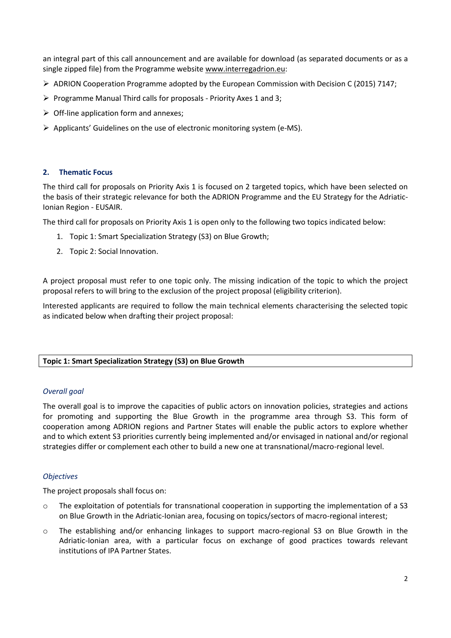an integral part of this call announcement and are available for download (as separated documents or as a single zipped file) from the Programme website [www.interregadrion.eu:](http://www.interregadrion.eu/)

- $\triangleright$  ADRION Cooperation Programme adopted by the European Commission with Decision C (2015) 7147;
- $\triangleright$  Programme Manual Third calls for proposals Priority Axes 1 and 3;
- $\triangleright$  Off-line application form and annexes;
- $\triangleright$  Applicants' Guidelines on the use of electronic monitoring system (e-MS).

### **2. Thematic Focus**

The third call for proposals on Priority Axis 1 is focused on 2 targeted topics, which have been selected on the basis of their strategic relevance for both the ADRION Programme and the EU Strategy for the Adriatic-Ionian Region - EUSAIR.

The third call for proposals on Priority Axis 1 is open only to the following two topics indicated below:

- 1. Topic 1: Smart Specialization Strategy (S3) on Blue Growth;
- 2. Topic 2: Social Innovation.

A project proposal must refer to one topic only. The missing indication of the topic to which the project proposal refers to will bring to the exclusion of the project proposal (eligibility criterion).

Interested applicants are required to follow the main technical elements characterising the selected topic as indicated below when drafting their project proposal:

### **Topic 1: Smart Specialization Strategy (S3) on Blue Growth**

### *Overall goal*

The overall goal is to improve the capacities of public actors on innovation policies, strategies and actions for promoting and supporting the Blue Growth in the programme area through S3. This form of cooperation among ADRION regions and Partner States will enable the public actors to explore whether and to which extent S3 priorities currently being implemented and/or envisaged in national and/or regional strategies differ or complement each other to build a new one at transnational/macro-regional level.

### *Objectives*

The project proposals shall focus on:

- o The exploitation of potentials for transnational cooperation in supporting the implementation of a S3 on Blue Growth in the Adriatic-Ionian area, focusing on topics/sectors of macro-regional interest;
- o The establishing and/or enhancing linkages to support macro-regional S3 on Blue Growth in the Adriatic-Ionian area, with a particular focus on exchange of good practices towards relevant institutions of IPA Partner States.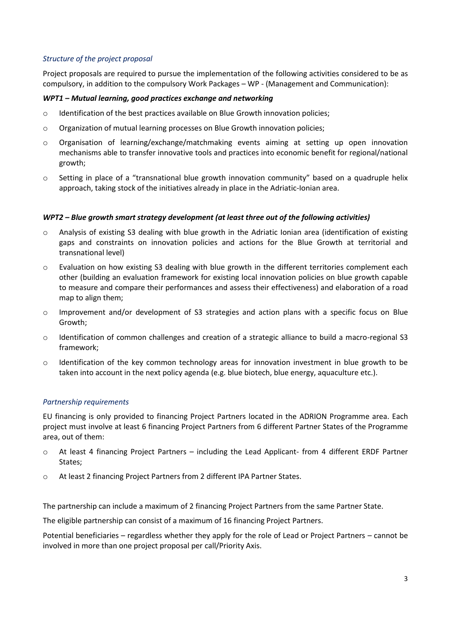### *Structure of the project proposal*

Project proposals are required to pursue the implementation of the following activities considered to be as compulsory, in addition to the compulsory Work Packages – WP - (Management and Communication):

### *WPT1 – Mutual learning, good practices exchange and networking*

- $\circ$  Identification of the best practices available on Blue Growth innovation policies;
- o Organization of mutual learning processes on Blue Growth innovation policies;
- o Organisation of learning/exchange/matchmaking events aiming at setting up open innovation mechanisms able to transfer innovative tools and practices into economic benefit for regional/national growth;
- o Setting in place of a "transnational blue growth innovation community" based on a quadruple helix approach, taking stock of the initiatives already in place in the Adriatic-Ionian area.

### *WPT2 – Blue growth smart strategy development (at least three out of the following activities)*

- o Analysis of existing S3 dealing with blue growth in the Adriatic Ionian area (identification of existing gaps and constraints on innovation policies and actions for the Blue Growth at territorial and transnational level)
- o Evaluation on how existing S3 dealing with blue growth in the different territories complement each other (building an evaluation framework for existing local innovation policies on blue growth capable to measure and compare their performances and assess their effectiveness) and elaboration of a road map to align them;
- o Improvement and/or development of S3 strategies and action plans with a specific focus on Blue Growth;
- o Identification of common challenges and creation of a strategic alliance to build a macro-regional S3 framework;
- $\circ$  Identification of the key common technology areas for innovation investment in blue growth to be taken into account in the next policy agenda (e.g. blue biotech, blue energy, aquaculture etc.).

### *Partnership requirements*

EU financing is only provided to financing Project Partners located in the ADRION Programme area. Each project must involve at least 6 financing Project Partners from 6 different Partner States of the Programme area, out of them:

- o At least 4 financing Project Partners including the Lead Applicant- from 4 different ERDF Partner States;
- o At least 2 financing Project Partners from 2 different IPA Partner States.

The partnership can include a maximum of 2 financing Project Partners from the same Partner State.

The eligible partnership can consist of a maximum of 16 financing Project Partners.

Potential beneficiaries – regardless whether they apply for the role of Lead or Project Partners – cannot be involved in more than one project proposal per call/Priority Axis.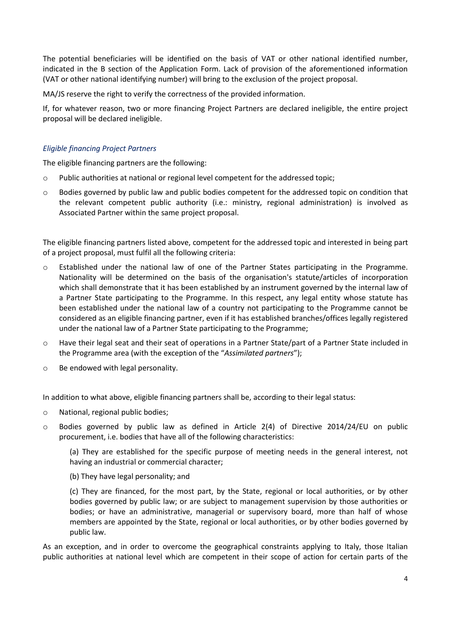The potential beneficiaries will be identified on the basis of VAT or other national identified number, indicated in the B section of the Application Form. Lack of provision of the aforementioned information (VAT or other national identifying number) will bring to the exclusion of the project proposal.

MA/JS reserve the right to verify the correctness of the provided information.

If, for whatever reason, two or more financing Project Partners are declared ineligible, the entire project proposal will be declared ineligible.

# *Eligible financing Project Partners*

The eligible financing partners are the following:

- o Public authorities at national or regional level competent for the addressed topic;
- o Bodies governed by public law and public bodies competent for the addressed topic on condition that the relevant competent public authority (i.e.: ministry, regional administration) is involved as Associated Partner within the same project proposal.

The eligible financing partners listed above, competent for the addressed topic and interested in being part of a project proposal, must fulfil all the following criteria:

- o Established under the national law of one of the Partner States participating in the Programme. Nationality will be determined on the basis of the organisation's statute/articles of incorporation which shall demonstrate that it has been established by an instrument governed by the internal law of a Partner State participating to the Programme. In this respect, any legal entity whose statute has been established under the national law of a country not participating to the Programme cannot be considered as an eligible financing partner, even if it has established branches/offices legally registered under the national law of a Partner State participating to the Programme;
- o Have their legal seat and their seat of operations in a Partner State/part of a Partner State included in the Programme area (with the exception of the "*Assimilated partners*");
- o Be endowed with legal personality.

In addition to what above, eligible financing partners shall be, according to their legal status:

- o National, regional public bodies;
- o Bodies governed by public law as defined in Article 2(4) of Directive 2014/24/EU on public procurement, i.e. bodies that have all of the following characteristics:

(a) They are established for the specific purpose of meeting needs in the general interest, not having an industrial or commercial character;

(b) They have legal personality; and

(c) They are financed, for the most part, by the State, regional or local authorities, or by other bodies governed by public law; or are subject to management supervision by those authorities or bodies; or have an administrative, managerial or supervisory board, more than half of whose members are appointed by the State, regional or local authorities, or by other bodies governed by public law.

As an exception, and in order to overcome the geographical constraints applying to Italy, those Italian public authorities at national level which are competent in their scope of action for certain parts of the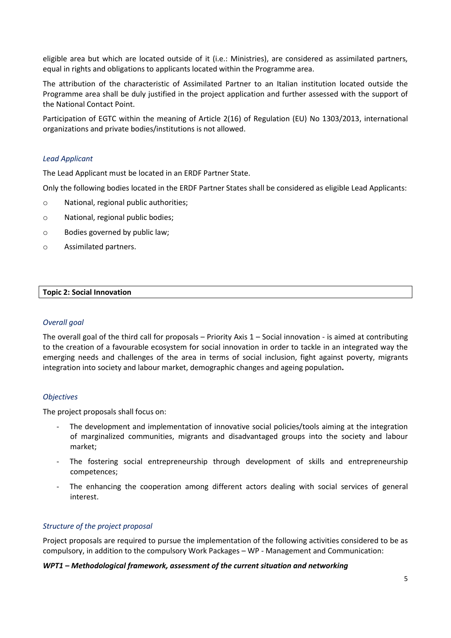eligible area but which are located outside of it (i.e.: Ministries), are considered as assimilated partners, equal in rights and obligations to applicants located within the Programme area.

The attribution of the characteristic of Assimilated Partner to an Italian institution located outside the Programme area shall be duly justified in the project application and further assessed with the support of the National Contact Point.

Participation of EGTC within the meaning of Article 2(16) of Regulation (EU) No 1303/2013, international organizations and private bodies/institutions is not allowed.

### *Lead Applicant*

The Lead Applicant must be located in an ERDF Partner State.

Only the following bodies located in the ERDF Partner States shall be considered as eligible Lead Applicants:

- o National, regional public authorities;
- o National, regional public bodies;
- o Bodies governed by public law;
- o Assimilated partners.

### **Topic 2: Social Innovation**

### *Overall goal*

The overall goal of the third call for proposals – Priority Axis  $1 -$  Social innovation - is aimed at contributing to the creation of a favourable ecosystem for social innovation in order to tackle in an integrated way the emerging needs and challenges of the area in terms of social inclusion, fight against poverty, migrants integration into society and labour market, demographic changes and ageing population**.**

### *Objectives*

The project proposals shall focus on:

- The development and implementation of innovative social policies/tools aiming at the integration of marginalized communities, migrants and disadvantaged groups into the society and labour market;
- The fostering social entrepreneurship through development of skills and entrepreneurship competences;
- The enhancing the cooperation among different actors dealing with social services of general interest.

# *Structure of the project proposal*

Project proposals are required to pursue the implementation of the following activities considered to be as compulsory, in addition to the compulsory Work Packages – WP - Management and Communication:

### *WPT1 – Methodological framework, assessment of the current situation and networking*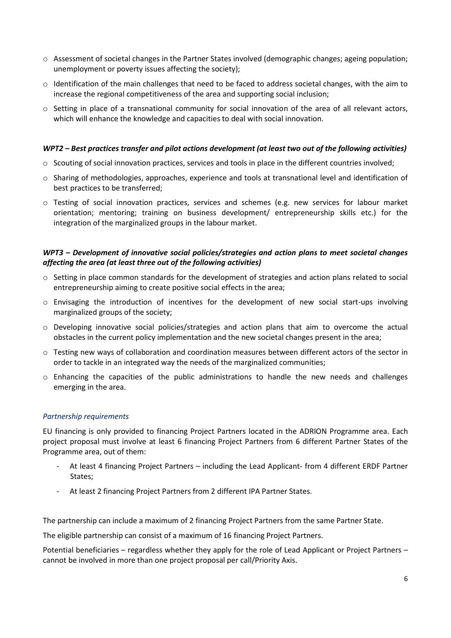- o Assessment of societal changes in the Partner States involved (demographic changes; ageing population; unemployment or poverty issues affecting the society);
- $\circ$  Identification of the main challenges that need to be faced to address societal changes, with the aim to increase the regional competitiveness of the area and supporting social inclusion;
- o Setting in place of a transnational community for social innovation of the area of all relevant actors, which will enhance the knowledge and capacities to deal with social innovation.

### *WPT2 – Best practices transfer and pilot actions development (at least two out of the following activities)*

- $\circ$  Scouting of social innovation practices, services and tools in place in the different countries involved;
- o Sharing of methodologies, approaches, experience and tools at transnational level and identification of best practices to be transferred;
- o Testing of social innovation practices, services and schemes (e.g. new services for labour market orientation; mentoring; training on business development/ entrepreneurship skills etc.) for the integration of the marginalized groups in the labour market.

### *WPT3 – Development of innovative social policies/strategies and action plans to meet societal changes affecting the area (at least three out of the following activities)*

- o Setting in place common standards for the development of strategies and action plans related to social entrepreneurship aiming to create positive social effects in the area;
- o Envisaging the introduction of incentives for the development of new social start-ups involving marginalized groups of the society;
- o Developing innovative social policies/strategies and action plans that aim to overcome the actual obstacles in the current policy implementation and the new societal changes present in the area;
- o Testing new ways of collaboration and coordination measures between different actors of the sector in order to tackle in an integrated way the needs of the marginalized communities;
- o Enhancing the capacities of the public administrations to handle the new needs and challenges emerging in the area.

# *Partnership requirements*

EU financing is only provided to financing Project Partners located in the ADRION Programme area. Each project proposal must involve at least 6 financing Project Partners from 6 different Partner States of the Programme area, out of them:

- At least 4 financing Project Partners including the Lead Applicant- from 4 different ERDF Partner States;
- At least 2 financing Project Partners from 2 different IPA Partner States.

The partnership can include a maximum of 2 financing Project Partners from the same Partner State.

The eligible partnership can consist of a maximum of 16 financing Project Partners.

Potential beneficiaries – regardless whether they apply for the role of Lead Applicant or Project Partners – cannot be involved in more than one project proposal per call/Priority Axis.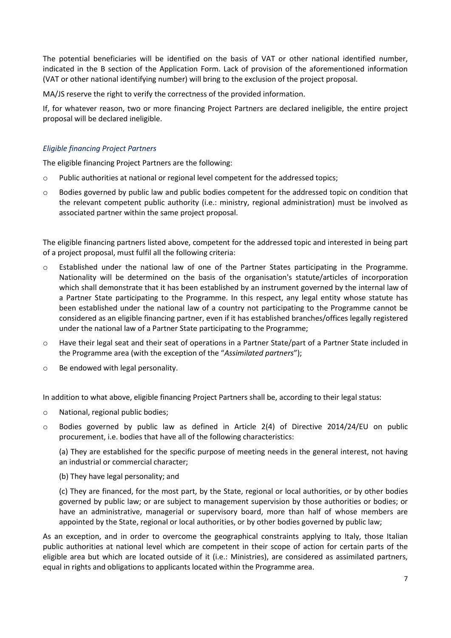The potential beneficiaries will be identified on the basis of VAT or other national identified number, indicated in the B section of the Application Form. Lack of provision of the aforementioned information (VAT or other national identifying number) will bring to the exclusion of the project proposal.

MA/JS reserve the right to verify the correctness of the provided information.

If, for whatever reason, two or more financing Project Partners are declared ineligible, the entire project proposal will be declared ineligible.

# *Eligible financing Project Partners*

The eligible financing Project Partners are the following:

- o Public authorities at national or regional level competent for the addressed topics;
- o Bodies governed by public law and public bodies competent for the addressed topic on condition that the relevant competent public authority (i.e.: ministry, regional administration) must be involved as associated partner within the same project proposal.

The eligible financing partners listed above, competent for the addressed topic and interested in being part of a project proposal, must fulfil all the following criteria:

- o Established under the national law of one of the Partner States participating in the Programme. Nationality will be determined on the basis of the organisation's statute/articles of incorporation which shall demonstrate that it has been established by an instrument governed by the internal law of a Partner State participating to the Programme. In this respect, any legal entity whose statute has been established under the national law of a country not participating to the Programme cannot be considered as an eligible financing partner, even if it has established branches/offices legally registered under the national law of a Partner State participating to the Programme;
- o Have their legal seat and their seat of operations in a Partner State/part of a Partner State included in the Programme area (with the exception of the "*Assimilated partners*");
- o Be endowed with legal personality.

In addition to what above, eligible financing Project Partners shall be, according to their legal status:

- o National, regional public bodies;
- o Bodies governed by public law as defined in Article 2(4) of Directive 2014/24/EU on public procurement, i.e. bodies that have all of the following characteristics:

(a) They are established for the specific purpose of meeting needs in the general interest, not having an industrial or commercial character;

(b) They have legal personality; and

(c) They are financed, for the most part, by the State, regional or local authorities, or by other bodies governed by public law; or are subject to management supervision by those authorities or bodies; or have an administrative, managerial or supervisory board, more than half of whose members are appointed by the State, regional or local authorities, or by other bodies governed by public law;

As an exception, and in order to overcome the geographical constraints applying to Italy, those Italian public authorities at national level which are competent in their scope of action for certain parts of the eligible area but which are located outside of it (i.e.: Ministries), are considered as assimilated partners, equal in rights and obligations to applicants located within the Programme area.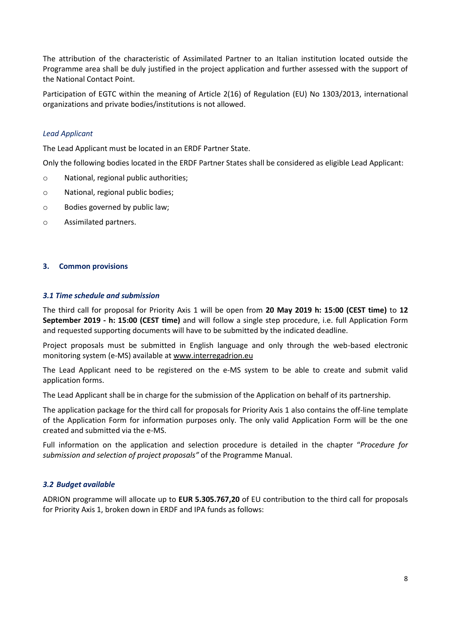The attribution of the characteristic of Assimilated Partner to an Italian institution located outside the Programme area shall be duly justified in the project application and further assessed with the support of the National Contact Point.

Participation of EGTC within the meaning of Article 2(16) of Regulation (EU) No 1303/2013, international organizations and private bodies/institutions is not allowed.

### *Lead Applicant*

The Lead Applicant must be located in an ERDF Partner State.

Only the following bodies located in the ERDF Partner States shall be considered as eligible Lead Applicant:

- o National, regional public authorities;
- o National, regional public bodies;
- o Bodies governed by public law;
- o Assimilated partners.

### **3. Common provisions**

### *3.1 Time schedule and submission*

The third call for proposal for Priority Axis 1 will be open from **20 May 2019 h: 15:00 (CEST time)** to **12 September 2019 - h: 15:00 (CEST time)** and will follow a single step procedure, i.e. full Application Form and requested supporting documents will have to be submitted by the indicated deadline.

Project proposals must be submitted in English language and only through the web-based electronic monitoring system (e-MS) available at [www.interregadrion.eu](http://www.interregadrion.eu/)

The Lead Applicant need to be registered on the e-MS system to be able to create and submit valid application forms.

The Lead Applicant shall be in charge for the submission of the Application on behalf of its partnership.

The application package for the third call for proposals for Priority Axis 1 also contains the off-line template of the Application Form for information purposes only. The only valid Application Form will be the one created and submitted via the e-MS.

Full information on the application and selection procedure is detailed in the chapter "*Procedure for submission and selection of project proposals"* of the Programme Manual.

# *3.2 Budget available*

ADRION programme will allocate up to **EUR 5.305.767,20** of EU contribution to the third call for proposals for Priority Axis 1, broken down in ERDF and IPA funds as follows: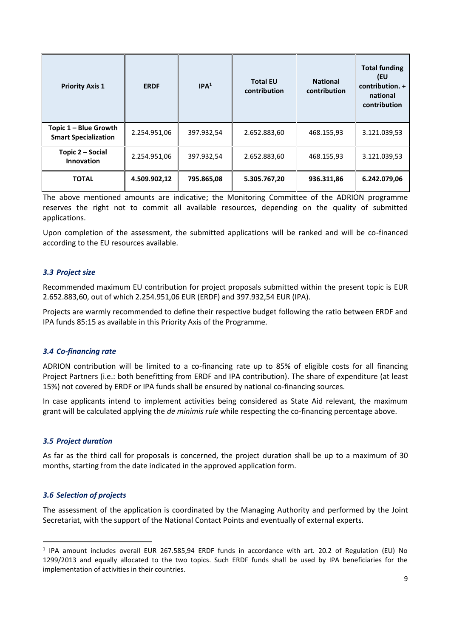| <b>Priority Axis 1</b>                               | <b>ERDF</b>  | IPA <sup>1</sup> | <b>Total EU</b><br>contribution | <b>National</b><br>contribution | <b>Total funding</b><br>(EU<br>contribution. +<br>national<br>contribution |
|------------------------------------------------------|--------------|------------------|---------------------------------|---------------------------------|----------------------------------------------------------------------------|
| Topic 1 - Blue Growth<br><b>Smart Specialization</b> | 2.254.951,06 | 397.932,54       | 2.652.883,60                    | 468.155,93                      | 3.121.039,53                                                               |
| Topic 2 – Social<br>Innovation                       | 2.254.951,06 | 397.932,54       | 2.652.883,60                    | 468.155,93                      | 3.121.039,53                                                               |
| <b>TOTAL</b>                                         | 4.509.902,12 | 795.865,08       | 5.305.767,20                    | 936.311,86                      | 6.242.079,06                                                               |

The above mentioned amounts are indicative; the Monitoring Committee of the ADRION programme reserves the right not to commit all available resources, depending on the quality of submitted applications.

Upon completion of the assessment, the submitted applications will be ranked and will be co-financed according to the EU resources available.

### *3.3 Project size*

Recommended maximum EU contribution for project proposals submitted within the present topic is EUR 2.652.883,60, out of which 2.254.951,06 EUR (ERDF) and 397.932,54 EUR (IPA).

Projects are warmly recommended to define their respective budget following the ratio between ERDF and IPA funds 85:15 as available in this Priority Axis of the Programme.

### *3.4 Co-financing rate*

ADRION contribution will be limited to a co-financing rate up to 85% of eligible costs for all financing Project Partners (i.e.: both benefitting from ERDF and IPA contribution). The share of expenditure (at least 15%) not covered by ERDF or IPA funds shall be ensured by national co-financing sources.

In case applicants intend to implement activities being considered as State Aid relevant, the maximum grant will be calculated applying the *de minimis rule* while respecting the co-financing percentage above.

### *3.5 Project duration*

As far as the third call for proposals is concerned, the project duration shall be up to a maximum of 30 months, starting from the date indicated in the approved application form.

### *3.6 Selection of projects*

 $\overline{\phantom{a}}$ 

The assessment of the application is coordinated by the Managing Authority and performed by the Joint Secretariat, with the support of the National Contact Points and eventually of external experts.

<sup>&</sup>lt;sup>1</sup> IPA amount includes overall EUR 267.585,94 ERDF funds in accordance with art. 20.2 of Regulation (EU) No 1299/2013 and equally allocated to the two topics. Such ERDF funds shall be used by IPA beneficiaries for the implementation of activities in their countries.